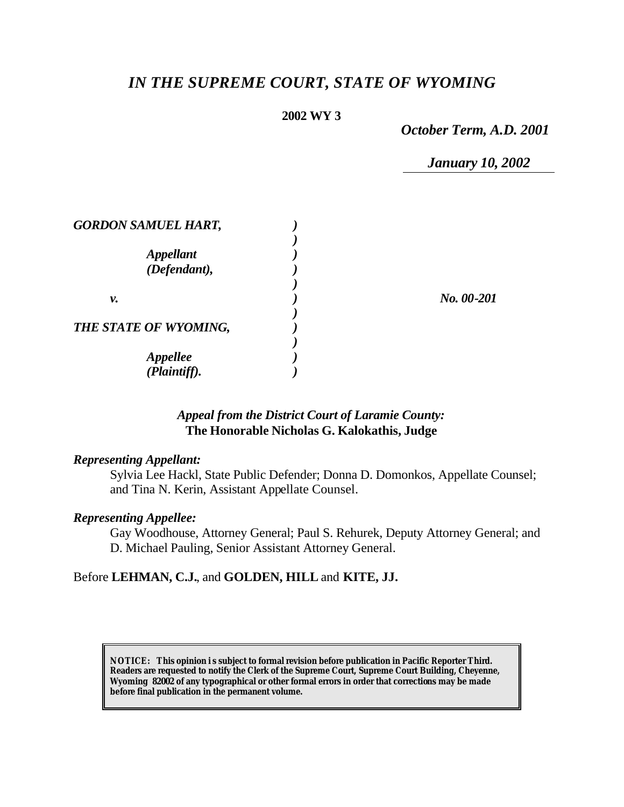# *IN THE SUPREME COURT, STATE OF WYOMING*

#### **2002 WY 3**

*October Term, A.D. 2001*

*January 10, 2002*

| <b>GORDON SAMUEL HART,</b>       |            |
|----------------------------------|------------|
| <b>Appellant</b><br>(Defendant), |            |
| ν.                               | No. 00-201 |
| THE STATE OF WYOMING,            |            |
| <b>Appellee</b><br>(Plaintiff).  |            |

## *Appeal from the District Court of Laramie County:* **The Honorable Nicholas G. Kalokathis, Judge**

#### *Representing Appellant:*

Sylvia Lee Hackl, State Public Defender; Donna D. Domonkos, Appellate Counsel; and Tina N. Kerin, Assistant Appellate Counsel.

#### *Representing Appellee:*

Gay Woodhouse, Attorney General; Paul S. Rehurek, Deputy Attorney General; and D. Michael Pauling, Senior Assistant Attorney General.

## Before **LEHMAN, C.J.**, and **GOLDEN, HILL** and **KITE, JJ.**

**NOTICE:** *This opinion i s subject to formal revision before publication in Pacific Reporter Third. Readers are requested to notify the Clerk of the Supreme Court, Supreme Court Building, Cheyenne, Wyoming 82002 of any typographical or other formal errors in order that corrections may be made before final publication in the permanent volume.*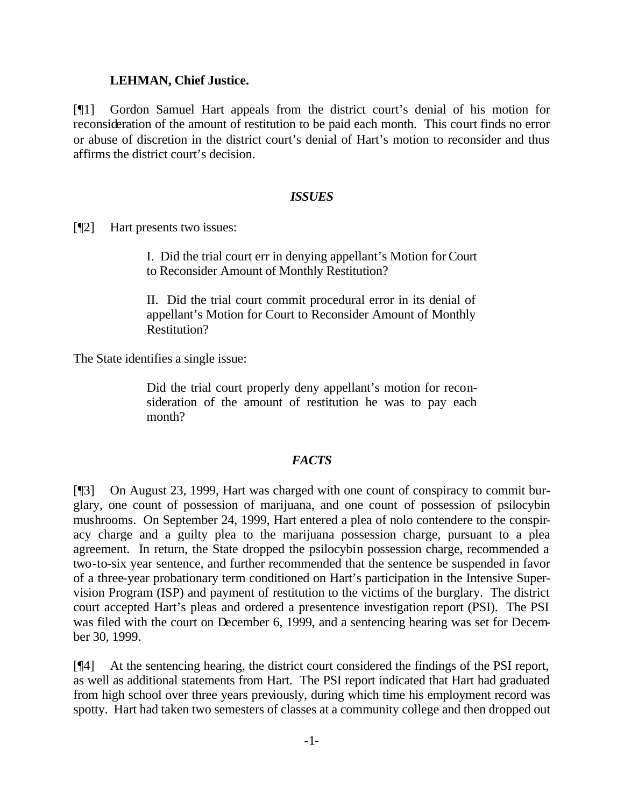#### **LEHMAN, Chief Justice.**

[¶1] Gordon Samuel Hart appeals from the district court's denial of his motion for reconsideration of the amount of restitution to be paid each month. This court finds no error or abuse of discretion in the district court's denial of Hart's motion to reconsider and thus affirms the district court's decision.

## *ISSUES*

[¶2] Hart presents two issues:

I. Did the trial court err in denying appellant's Motion for Court to Reconsider Amount of Monthly Restitution?

II. Did the trial court commit procedural error in its denial of appellant's Motion for Court to Reconsider Amount of Monthly Restitution?

The State identifies a single issue:

Did the trial court properly deny appellant's motion for reconsideration of the amount of restitution he was to pay each month?

## *FACTS*

[¶3] On August 23, 1999, Hart was charged with one count of conspiracy to commit burglary, one count of possession of marijuana, and one count of possession of psilocybin mushrooms. On September 24, 1999, Hart entered a plea of nolo contendere to the conspiracy charge and a guilty plea to the marijuana possession charge, pursuant to a plea agreement. In return, the State dropped the psilocybin possession charge, recommended a two-to-six year sentence, and further recommended that the sentence be suspended in favor of a three-year probationary term conditioned on Hart's participation in the Intensive Supervision Program (ISP) and payment of restitution to the victims of the burglary. The district court accepted Hart's pleas and ordered a presentence investigation report (PSI). The PSI was filed with the court on December 6, 1999, and a sentencing hearing was set for December 30, 1999.

[¶4] At the sentencing hearing, the district court considered the findings of the PSI report, as well as additional statements from Hart. The PSI report indicated that Hart had graduated from high school over three years previously, during which time his employment record was spotty. Hart had taken two semesters of classes at a community college and then dropped out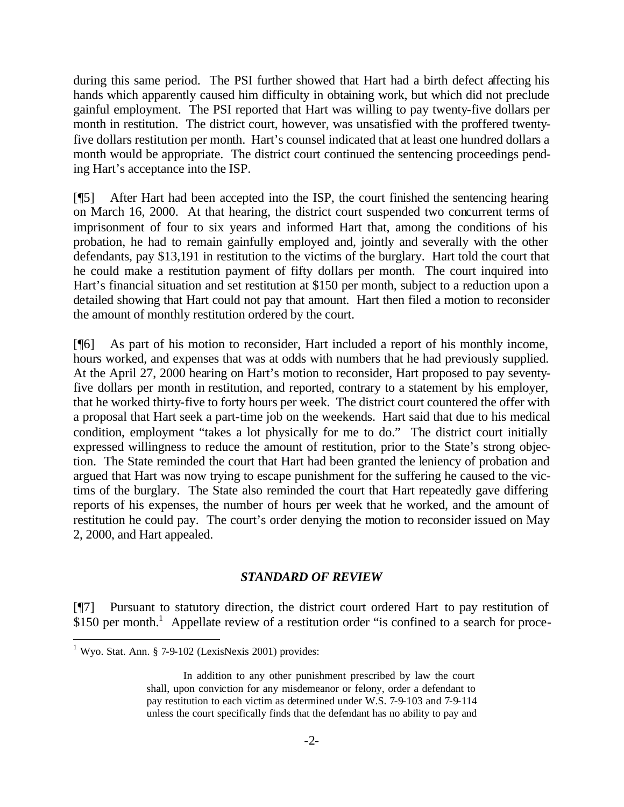during this same period. The PSI further showed that Hart had a birth defect affecting his hands which apparently caused him difficulty in obtaining work, but which did not preclude gainful employment. The PSI reported that Hart was willing to pay twenty-five dollars per month in restitution. The district court, however, was unsatisfied with the proffered twentyfive dollars restitution per month. Hart's counsel indicated that at least one hundred dollars a month would be appropriate. The district court continued the sentencing proceedings pending Hart's acceptance into the ISP.

[¶5] After Hart had been accepted into the ISP, the court finished the sentencing hearing on March 16, 2000. At that hearing, the district court suspended two concurrent terms of imprisonment of four to six years and informed Hart that, among the conditions of his probation, he had to remain gainfully employed and, jointly and severally with the other defendants, pay \$13,191 in restitution to the victims of the burglary. Hart told the court that he could make a restitution payment of fifty dollars per month. The court inquired into Hart's financial situation and set restitution at \$150 per month, subject to a reduction upon a detailed showing that Hart could not pay that amount. Hart then filed a motion to reconsider the amount of monthly restitution ordered by the court.

[¶6] As part of his motion to reconsider, Hart included a report of his monthly income, hours worked, and expenses that was at odds with numbers that he had previously supplied. At the April 27, 2000 hearing on Hart's motion to reconsider, Hart proposed to pay seventyfive dollars per month in restitution, and reported, contrary to a statement by his employer, that he worked thirty-five to forty hours per week. The district court countered the offer with a proposal that Hart seek a part-time job on the weekends. Hart said that due to his medical condition, employment "takes a lot physically for me to do." The district court initially expressed willingness to reduce the amount of restitution, prior to the State's strong objection. The State reminded the court that Hart had been granted the leniency of probation and argued that Hart was now trying to escape punishment for the suffering he caused to the victims of the burglary. The State also reminded the court that Hart repeatedly gave differing reports of his expenses, the number of hours per week that he worked, and the amount of restitution he could pay. The court's order denying the motion to reconsider issued on May 2, 2000, and Hart appealed.

## *STANDARD OF REVIEW*

[¶7] Pursuant to statutory direction, the district court ordered Hart to pay restitution of \$150 per month.<sup>1</sup> Appellate review of a restitution order "is confined to a search for proce-

l

 $1$  Wyo. Stat. Ann. § 7-9-102 (LexisNexis 2001) provides:

In addition to any other punishment prescribed by law the court shall, upon conviction for any misdemeanor or felony, order a defendant to pay restitution to each victim as determined under W.S. 7-9-103 and 7-9-114 unless the court specifically finds that the defendant has no ability to pay and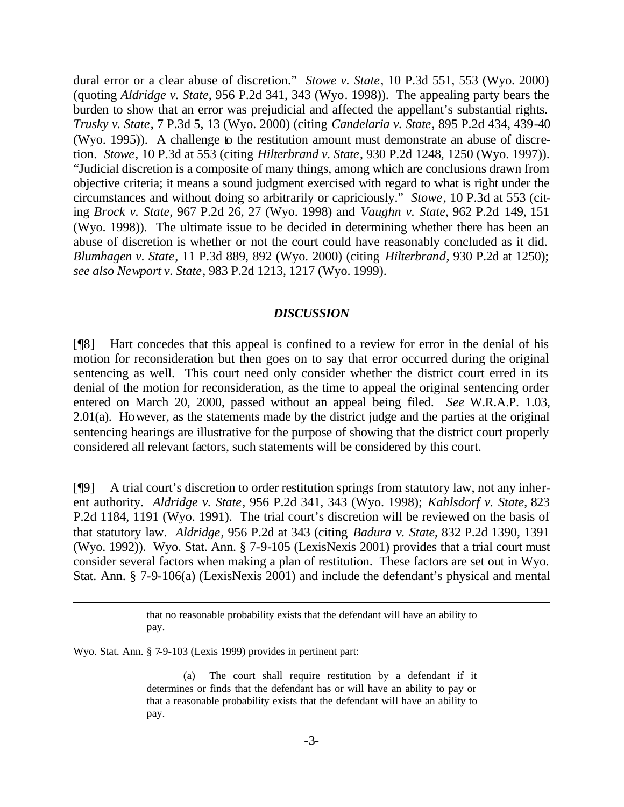dural error or a clear abuse of discretion." *Stowe v. State*, 10 P.3d 551, 553 (Wyo. 2000) (quoting *Aldridge v. State*, 956 P.2d 341, 343 (Wyo. 1998)). The appealing party bears the burden to show that an error was prejudicial and affected the appellant's substantial rights. *Trusky v. State*, 7 P.3d 5, 13 (Wyo. 2000) (citing *Candelaria v. State*, 895 P.2d 434, 439-40 (Wyo. 1995)). A challenge to the restitution amount must demonstrate an abuse of discretion. *Stowe*, 10 P.3d at 553 (citing *Hilterbrand v. State*, 930 P.2d 1248, 1250 (Wyo. 1997)). "Judicial discretion is a composite of many things, among which are conclusions drawn from objective criteria; it means a sound judgment exercised with regard to what is right under the circumstances and without doing so arbitrarily or capriciously." *Stowe*, 10 P.3d at 553 (citing *Brock v. State*, 967 P.2d 26, 27 (Wyo. 1998) and *Vaughn v. State*, 962 P.2d 149, 151 (Wyo. 1998)). The ultimate issue to be decided in determining whether there has been an abuse of discretion is whether or not the court could have reasonably concluded as it did. *Blumhagen v. State*, 11 P.3d 889, 892 (Wyo. 2000) (citing *Hilterbrand*, 930 P.2d at 1250); *see also Newport v. State*, 983 P.2d 1213, 1217 (Wyo. 1999).

#### *DISCUSSION*

[¶8] Hart concedes that this appeal is confined to a review for error in the denial of his motion for reconsideration but then goes on to say that error occurred during the original sentencing as well. This court need only consider whether the district court erred in its denial of the motion for reconsideration, as the time to appeal the original sentencing order entered on March 20, 2000, passed without an appeal being filed. *See* W.R.A.P. 1.03, 2.01(a). However, as the statements made by the district judge and the parties at the original sentencing hearings are illustrative for the purpose of showing that the district court properly considered all relevant factors, such statements will be considered by this court.

[¶9] A trial court's discretion to order restitution springs from statutory law, not any inherent authority. *Aldridge v. State*, 956 P.2d 341, 343 (Wyo. 1998); *Kahlsdorf v. State*, 823 P.2d 1184, 1191 (Wyo. 1991). The trial court's discretion will be reviewed on the basis of that statutory law. *Aldridge*, 956 P.2d at 343 (citing *Badura v. State*, 832 P.2d 1390, 1391 (Wyo. 1992)). Wyo. Stat. Ann. § 7-9-105 (LexisNexis 2001) provides that a trial court must consider several factors when making a plan of restitution. These factors are set out in Wyo. Stat. Ann. § 7-9-106(a) (LexisNexis 2001) and include the defendant's physical and mental

Wyo. Stat. Ann. § 7-9-103 (Lexis 1999) provides in pertinent part:

l

that no reasonable probability exists that the defendant will have an ability to pay.

<sup>(</sup>a) The court shall require restitution by a defendant if it determines or finds that the defendant has or will have an ability to pay or that a reasonable probability exists that the defendant will have an ability to pay.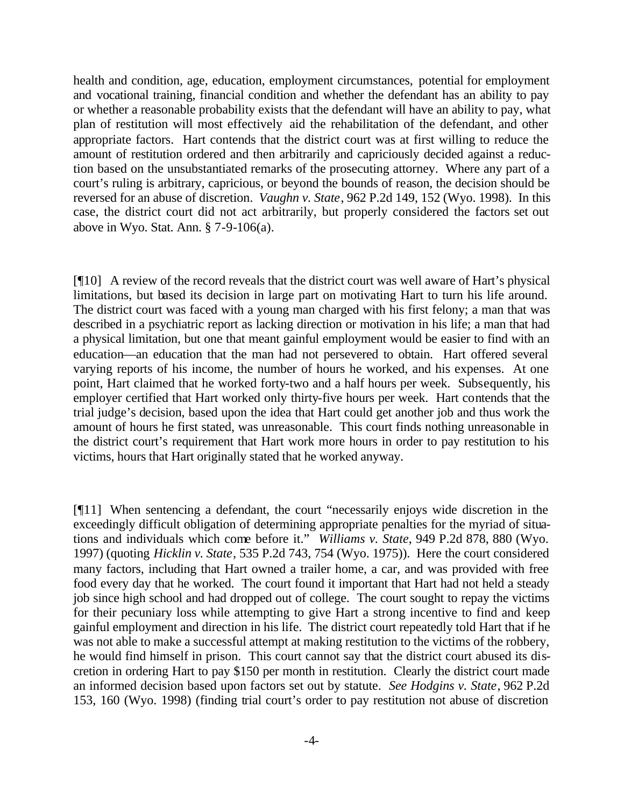health and condition, age, education, employment circumstances, potential for employment and vocational training, financial condition and whether the defendant has an ability to pay or whether a reasonable probability exists that the defendant will have an ability to pay, what plan of restitution will most effectively aid the rehabilitation of the defendant, and other appropriate factors. Hart contends that the district court was at first willing to reduce the amount of restitution ordered and then arbitrarily and capriciously decided against a reduction based on the unsubstantiated remarks of the prosecuting attorney. Where any part of a court's ruling is arbitrary, capricious, or beyond the bounds of reason, the decision should be reversed for an abuse of discretion. *Vaughn v. State*, 962 P.2d 149, 152 (Wyo. 1998). In this case, the district court did not act arbitrarily, but properly considered the factors set out above in Wyo. Stat. Ann. § 7-9-106(a).

[¶10] A review of the record reveals that the district court was well aware of Hart's physical limitations, but based its decision in large part on motivating Hart to turn his life around. The district court was faced with a young man charged with his first felony; a man that was described in a psychiatric report as lacking direction or motivation in his life; a man that had a physical limitation, but one that meant gainful employment would be easier to find with an education—an education that the man had not persevered to obtain. Hart offered several varying reports of his income, the number of hours he worked, and his expenses. At one point, Hart claimed that he worked forty-two and a half hours per week. Subsequently, his employer certified that Hart worked only thirty-five hours per week. Hart contends that the trial judge's decision, based upon the idea that Hart could get another job and thus work the amount of hours he first stated, was unreasonable. This court finds nothing unreasonable in the district court's requirement that Hart work more hours in order to pay restitution to his victims, hours that Hart originally stated that he worked anyway.

[¶11] When sentencing a defendant, the court "necessarily enjoys wide discretion in the exceedingly difficult obligation of determining appropriate penalties for the myriad of situations and individuals which come before it." *Williams v. State*, 949 P.2d 878, 880 (Wyo. 1997) (quoting *Hicklin v. State*, 535 P.2d 743, 754 (Wyo. 1975)). Here the court considered many factors, including that Hart owned a trailer home, a car, and was provided with free food every day that he worked. The court found it important that Hart had not held a steady job since high school and had dropped out of college. The court sought to repay the victims for their pecuniary loss while attempting to give Hart a strong incentive to find and keep gainful employment and direction in his life. The district court repeatedly told Hart that if he was not able to make a successful attempt at making restitution to the victims of the robbery, he would find himself in prison. This court cannot say that the district court abused its discretion in ordering Hart to pay \$150 per month in restitution. Clearly the district court made an informed decision based upon factors set out by statute. *See Hodgins v. State*, 962 P.2d 153, 160 (Wyo. 1998) (finding trial court's order to pay restitution not abuse of discretion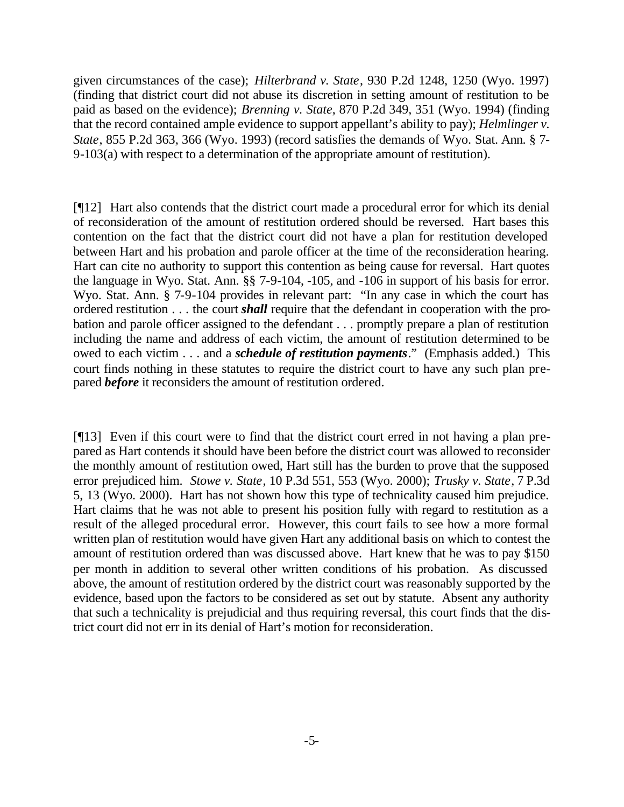given circumstances of the case); *Hilterbrand v. State*, 930 P.2d 1248, 1250 (Wyo. 1997) (finding that district court did not abuse its discretion in setting amount of restitution to be paid as based on the evidence); *Brenning v. State*, 870 P.2d 349, 351 (Wyo. 1994) (finding that the record contained ample evidence to support appellant's ability to pay); *Helmlinger v. State*, 855 P.2d 363, 366 (Wyo. 1993) (record satisfies the demands of Wyo. Stat. Ann. § 7- 9-103(a) with respect to a determination of the appropriate amount of restitution).

[¶12] Hart also contends that the district court made a procedural error for which its denial of reconsideration of the amount of restitution ordered should be reversed. Hart bases this contention on the fact that the district court did not have a plan for restitution developed between Hart and his probation and parole officer at the time of the reconsideration hearing. Hart can cite no authority to support this contention as being cause for reversal. Hart quotes the language in Wyo. Stat. Ann. §§ 7-9-104, -105, and -106 in support of his basis for error. Wyo. Stat. Ann. § 7-9-104 provides in relevant part: "In any case in which the court has ordered restitution . . . the court *shall* require that the defendant in cooperation with the probation and parole officer assigned to the defendant . . . promptly prepare a plan of restitution including the name and address of each victim, the amount of restitution determined to be owed to each victim . . . and a *schedule of restitution payments*." (Emphasis added.) This court finds nothing in these statutes to require the district court to have any such plan prepared *before* it reconsiders the amount of restitution ordered.

[¶13] Even if this court were to find that the district court erred in not having a plan prepared as Hart contends it should have been before the district court was allowed to reconsider the monthly amount of restitution owed, Hart still has the burden to prove that the supposed error prejudiced him. *Stowe v. State*, 10 P.3d 551, 553 (Wyo. 2000); *Trusky v. State*, 7 P.3d 5, 13 (Wyo. 2000). Hart has not shown how this type of technicality caused him prejudice. Hart claims that he was not able to present his position fully with regard to restitution as a result of the alleged procedural error. However, this court fails to see how a more formal written plan of restitution would have given Hart any additional basis on which to contest the amount of restitution ordered than was discussed above. Hart knew that he was to pay \$150 per month in addition to several other written conditions of his probation. As discussed above, the amount of restitution ordered by the district court was reasonably supported by the evidence, based upon the factors to be considered as set out by statute. Absent any authority that such a technicality is prejudicial and thus requiring reversal, this court finds that the district court did not err in its denial of Hart's motion for reconsideration.